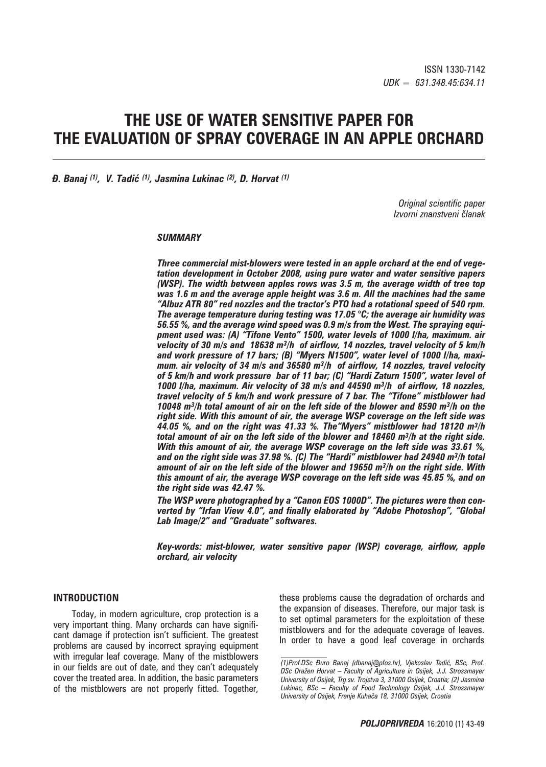# **THE USE OF WATER SENSITIVE PAPER FOR THE EVALUATION OF SPRAY COVERAGE IN AN APPLE ORCHARD**

*\. Banaj (1), V. Tadić (1), Jasmina Lukinac (2), D. Horvat (1)*

*Original scientific paper Izvorni znanstveni ~lanak*

#### *SUMMARY*

*Three commercial mist-blowers were tested in an apple orchard at the end of vegetation development in October 2008, using pure water and water sensitive papers (WSP). The width between apples rows was 3.5 m, the average width of tree top was 1.6 m and the average apple height was 3.6 m. All the machines had the same "Albuz ATR 80" red nozzles and the tractor's PTO had a rotational speed of 540 rpm. The average temperature during testing was 17.05 °C; the average air humidity was 56.55 %, and the average wind speed was 0.9 m/s from the West. The spraying equipment used was: (A) "Tifone Vento" 1500, water levels of 1000 l/ha, maximum. air velocity of 30 m/s and 18638 m3/h of airflow, 14 nozzles, travel velocity of 5 km/h and work pressure of 17 bars; (B) "Myers N1500", water level of 1000 l/ha, maximum. air velocity of 34 m/s and 36580 m3/h of airflow, 14 nozzles, travel velocity of 5 km/h and work pressure bar of 11 bar; (C) "Hardi Zaturn 1500", water level of 1000 l/ha, maximum. Air velocity of 38 m/s and 44590 m3/h of airflow, 18 nozzles, travel velocity of 5 km/h and work pressure of 7 bar. The "Tifone" mistblower had 10048 m3/h total amount of air on the left side of the blower and 8590 m3/h on the right side. With this amount of air, the average WSP coverage on the left side was 44.05 %, and on the right was 41.33 %. The"Myers" mistblower had 18120 m3/h total amount of air on the left side of the blower and 18460 m3/h at the right side. With this amount of air, the average WSP coverage on the left side was 33.61 %, and on the right side was 37.98 %. (C) The "Hardi" mistblower had 24940 m3/h total amount of air on the left side of the blower and 19650 m3/h on the right side. With this amount of air, the average WSP coverage on the left side was 45.85 %, and on the right side was 42.47 %.* 

*The WSP were photographed by a "Canon EOS 1000D". The pictures were then converted by "Irfan View 4.0", and finally elaborated by "Adobe Photoshop", "Global Lab Image/2" and "Graduate" softwares.* 

*Key-words: mist-blower, water sensitive paper (WSP) coverage, airflow, apple orchard, air velocity* 

#### **INTRODUCTION**

Today, in modern agriculture, crop protection is a very important thing. Many orchards can have significant damage if protection isn't sufficient. The greatest problems are caused by incorrect spraying equipment with irregular leaf coverage. Many of the mistblowers in our fields are out of date, and they can't adequately cover the treated area. In addition, the basic parameters of the mistblowers are not properly fitted. Together, these problems cause the degradation of orchards and the expansion of diseases. Therefore, our major task is to set optimal parameters for the exploitation of these mistblowers and for the adequate coverage of leaves. In order to have a good leaf coverage in orchards

*<sup>(1)</sup>Prof.DSc \uro Banaj (dbanaj@pfos.hr), Vjekoslav Tadi}, BSc, Prof. DSc Dra`en Horvat – Faculty of Agriculture in Osijek, J.J. Strossmayer University of Osijek, Trg sv. Trojstva 3, 31000 Osijek, Croatia; (2) Jasmina Lukinac, BSc – Faculty of Food Technology Osijek, J.J. Strossmayer University of Osijek, Franje Kuha~a 18, 31000 Osijek, Croatia*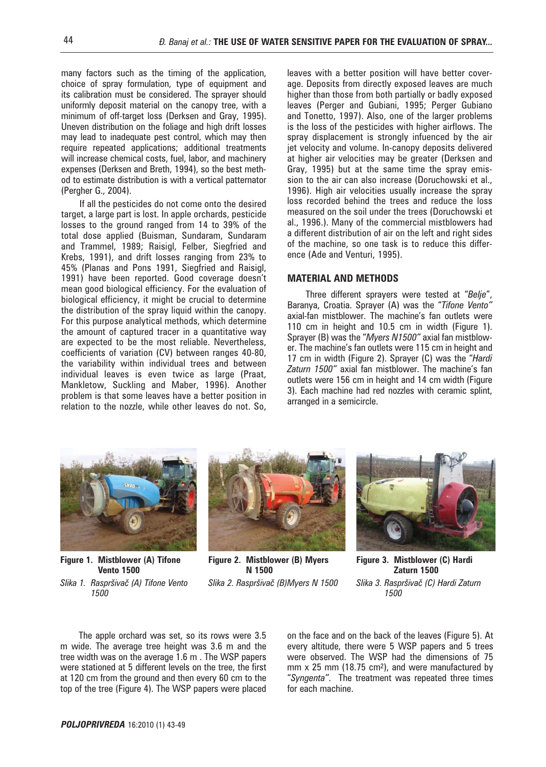many factors such as the timing of the application, choice of spray formulation, type of equipment and its calibration must be considered. The sprayer should uniformly deposit material on the canopy tree, with a minimum of off-target loss (Derksen and Gray, 1995). Uneven distribution on the foliage and high drift losses may lead to inadequate pest control, which may then require repeated applications; additional treatments will increase chemical costs, fuel, labor, and machinery expenses (Derksen and Breth, 1994), so the best method to estimate distribution is with a vertical patternator (Pergher G., 2004).

If all the pesticides do not come onto the desired target, a large part is lost. In apple orchards, pesticide losses to the ground ranged from 14 to 39% of the total dose applied (Buisman, Sundaram, Sundaram and Trammel, 1989; Raisigl, Felber, Siegfried and Krebs, 1991), and drift losses ranging from 23% to 45% (Planas and Pons 1991, Siegfried and Raisigl, 1991) have been reported. Good coverage doesn't mean good biological efficiency. For the evaluation of biological efficiency, it might be crucial to determine the distribution of the spray liquid within the canopy. For this purpose analytical methods, which determine the amount of captured tracer in a quantitative way are expected to be the most reliable. Nevertheless, coefficients of variation (CV) between ranges 40-80, the variability within individual trees and between individual leaves is even twice as large (Praat, Mankletow, Suckling and Maber, 1996). Another problem is that some leaves have a better position in relation to the nozzle, while other leaves do not. So, leaves with a better position will have better coverage. Deposits from directly exposed leaves are much higher than those from both partially or badly exposed leaves (Perger and Gubiani, 1995; Perger Gubiano and Tonetto, 1997). Also, one of the larger problems is the loss of the pesticides with higher airflows. The spray displacement is strongly infuenced by the air jet velocity and volume. In-canopy deposits delivered at higher air velocities may be greater (Derksen and Gray, 1995) but at the same time the spray emission to the air can also increase (Doruchowski et al., 1996). High air velocities usually increase the spray loss recorded behind the trees and reduce the loss measured on the soil under the trees (Doruchowski et al., 1996.). Many of the commercial mistblowers had a different distribution of air on the left and right sides of the machine, so one task is to reduce this difference (Ade and Venturi, 1995).

#### **MATERIAL AND METHODS**

Three different sprayers were tested at "*Belje*", Baranya, Croatia. Sprayer (A) was the "*Tifone Vento"* axial-fan mistblower. The machine's fan outlets were 110 cm in height and 10.5 cm in width (Figure 1). Sprayer (B) was the "*Myers N1500"* axial fan mistblower. The machine's fan outlets were 115 cm in height and 17 cm in width (Figure 2). Sprayer (C) was the "*Hardi Zaturn 1500"* axial fan mistblower. The machine's fan outlets were 156 cm in height and 14 cm width (Figure 3). Each machine had red nozzles with ceramic splint, arranged in a semicircle.



**Figure 1. Mistblower (A) Tifone Vento 1500** *Slika 1. Raspr{iva~ (A) Tifone Vento* 

*1500*



**Figure 2. Mistblower (B) Myers N 1500**

*Slika 2. Raspr{iva~ (B)Myers N 1500*



**Figure 3. Mistblower (C) Hardi Zaturn 1500** *Slika 3. Raspr{iva~ (C) Hardi Zaturn 1500*

The apple orchard was set, so its rows were 3.5 m wide. The average tree height was 3.6 m and the tree width was on the average 1.6 m . The WSP papers were stationed at 5 different levels on the tree, the first at 120 cm from the ground and then every 60 cm to the top of the tree (Figure 4). The WSP papers were placed

on the face and on the back of the leaves (Figure 5). At every altitude, there were 5 WSP papers and 5 trees were observed. The WSP had the dimensions of 75 mm  $x$  25 mm (18.75 cm<sup>2</sup>), and were manufactured by "*Syngenta"*. The treatment was repeated three times for each machine.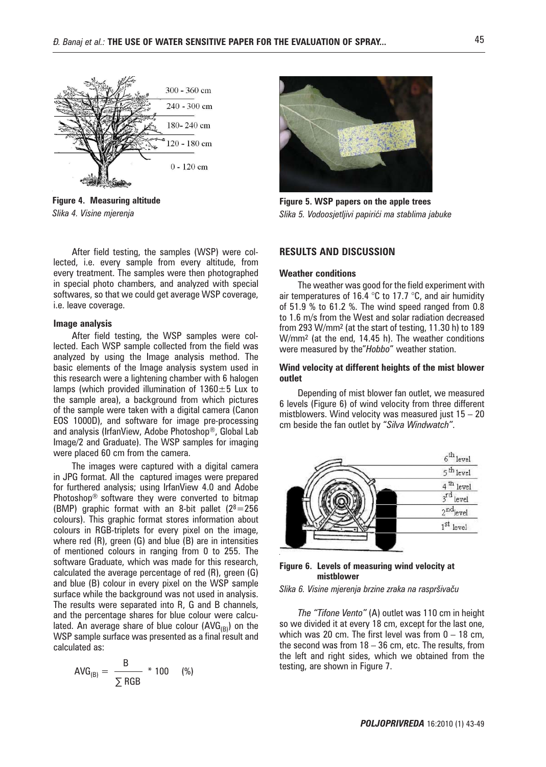

**Figure 4. Measuring altitude** *Slika 4. Visine mjerenja*

After field testing, the samples (WSP) were collected, i.e. every sample from every altitude, from every treatment. The samples were then photographed in special photo chambers, and analyzed with special softwares, so that we could get average WSP coverage, i.e. leave coverage.

#### **Image analysis**

After field testing, the WSP samples were collected. Each WSP sample collected from the field was analyzed by using the Image analysis method. The basic elements of the Image analysis system used in this research were a lightening chamber with 6 halogen lamps (which provided illumination of  $1360 \pm 5$  Lux to the sample area), a background from which pictures of the sample were taken with a digital camera (Canon EOS 1000D), and software for image pre-processing and analysis (IrfanView, Adobe Photoshop®, Global Lab Image/2 and Graduate). The WSP samples for imaging were placed 60 cm from the camera.

The images were captured with a digital camera in JPG format. All the captured images were prepared for furthered analysis; using IrfanView 4.0 and Adobe Photoshop® software they were converted to bitmap (BMP) graphic format with an 8-bit pallet  $(2^8=256)$ colours). This graphic format stores information about colours in RGB-triplets for every pixel on the image, where red (R), green (G) and blue (B) are in intensities of mentioned colours in ranging from 0 to 255. The software Graduate, which was made for this research, calculated the average percentage of red (R), green (G) and blue (B) colour in every pixel on the WSP sample surface while the background was not used in analysis. The results were separated into R, G and B channels, and the percentage shares for blue colour were calculated. An average share of blue colour  $(AVG_{(B)})$  on the WSP sample surface was presented as a final result and calculated as:

$$
AVG_{(B)} = \frac{B}{\sum RGB} * 100 \qquad (*)
$$



**Figure 5. WSP papers on the apple trees** *Slika 5. Vodoosjetljivi papiri}i ma stablima jabuke*

## **RESULTS AND DISCUSSION**

#### **Weather conditions**

The weather was good for the field experiment with air temperatures of 16.4  $\degree$ C to 17.7  $\degree$ C, and air humidity of 51.9 % to 61.2 %. The wind speed ranged from 0.8 to 1.6 m/s from the West and solar radiation decreased from 293 W/mm2 (at the start of testing, 11.30 h) to 189 W/mm2 (at the end, 14.45 h). The weather conditions were measured by the"*Hobbo*" weather station.

#### **Wind velocity at different heights of the mist blower outlet**

Depending of mist blower fan outlet, we measured 6 levels (Figure 6) of wind velocity from three different mistblowers. Wind velocity was measured just  $15 - 20$ cm beside the fan outlet by "*Silva Windwatch"*.



#### **Figure 6. Levels of measuring wind velocity at mistblower**

#### *Slika 6. Visine mjerenja brzine zraka na raspr{iva~u*

*The "Tifone Vento"* (A) outlet was 110 cm in height so we divided it at every 18 cm, except for the last one, which was 20 cm. The first level was from  $0 - 18$  cm, the second was from  $18 - 36$  cm, etc. The results, from the left and right sides, which we obtained from the testing, are shown in Figure 7.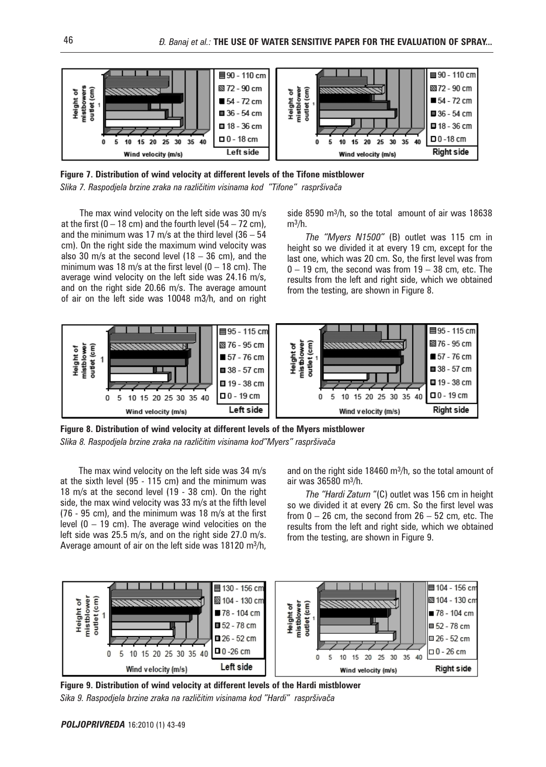

**Figure 7. Distribution of wind velocity at different levels of the Tifone mistblower** Slika 7. Raspodjela brzine zraka na različitim visinama kod "Tifone" raspršivača

The max wind velocity on the left side was 30 m/s at the first  $(0 - 18 \text{ cm})$  and the fourth level  $(54 - 72 \text{ cm})$ , and the minimum was 17 m/s at the third level  $(36 - 54)$ cm). On the right side the maximum wind velocity was also 30 m/s at the second level (18 – 36 cm), and the minimum was 18 m/s at the first level  $(0 - 18 \text{ cm})$ . The average wind velocity on the left side was 24.16 m/s, and on the right side 20.66 m/s. The average amount of air on the left side was 10048 m3/h, and on right

side 8590 m3/h, so the total amount of air was 18638  $m^3/h$ .

*The "Myers N1500"* (B) outlet was 115 cm in height so we divided it at every 19 cm, except for the last one, which was 20 cm. So, the first level was from  $0 - 19$  cm, the second was from  $19 - 38$  cm, etc. The results from the left and right side, which we obtained from the testing, are shown in Figure 8.



**Figure 8. Distribution of wind velocity at different levels of the Myers mistblower** Slika 8. Raspodjela brzine zraka na različitim visinama kod"Myers" raspršivača

The max wind velocity on the left side was 34 m/s at the sixth level (95 - 115 cm) and the minimum was 18 m/s at the second level (19 - 38 cm). On the right side, the max wind velocity was 33 m/s at the fifth level (76 - 95 cm), and the minimum was 18 m/s at the first level (0 – 19 cm). The average wind velocities on the left side was 25.5 m/s, and on the right side 27.0 m/s. Average amount of air on the left side was 18120 m3/h,

and on the right side 18460 m3/h, so the total amount of air was 36580 m3/h.

*The "Hardi Zaturn* "(C) outlet was 156 cm in height so we divided it at every 26 cm. So the first level was from  $0 - 26$  cm, the second from  $26 - 52$  cm, etc. The results from the left and right side, which we obtained from the testing, are shown in Figure 9.



**Figure 9. Distribution of wind velocity at different levels of the Hardi mistblower** Sika 9. Raspodjela brzine zraka na različitim visinama kod "Hardi" raspršivača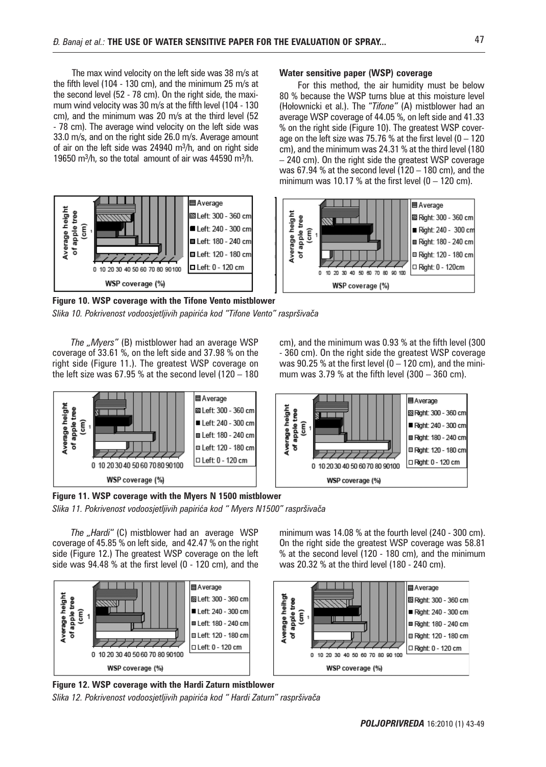The max wind velocity on the left side was 38 m/s at the fifth level (104 - 130 cm), and the minimum 25 m/s at the second level (52 - 78 cm). On the right side, the maximum wind velocity was 30 m/s at the fifth level (104 - 130 cm), and the minimum was 20 m/s at the third level (52 - 78 cm). The average wind velocity on the left side was 33.0 m/s, and on the right side 26.0 m/s. Average amount of air on the left side was 24940 m3/h, and on right side 19650 m3/h, so the total amount of air was 44590 m3/h.



**Figure 10. WSP coverage with the Tifone Vento mistblower** Slika 10. Pokrivenost vodoosjetljivih papirića kod "Tifone Vento" raspršivača

*The "Myers"* (B) mistblower had an average WSP coverage of 33.61 %, on the left side and 37.98 % on the right side (Figure 11.). The greatest WSP coverage on the left size was 67.95 % at the second level (120 – 180



**Figure 11. WSP coverage with the Myers N 1500 mistblower**

Slika 11. Pokrivenost vodoosjetljivih papirića kod " Myers N1500" raspršivača

*The "Hardi"* (C) mistblower had an average WSP coverage of 45.85 % on left side, and 42.47 % on the right side (Figure 12.) The greatest WSP coverage on the left side was 94.48 % at the first level (0 - 120 cm), and the



**Figure 12. WSP coverage with the Hardi Zaturn mistblower** *Slika 12. Pokrivenost vodoosjetljivih papiri}a kod " Hardi Zaturn" raspr{iva~a*

#### **Water sensitive paper (WSP) coverage**

For this method, the air humidity must be below 80 % because the WSP turns blue at this moisture level (Hołownicki et al.). The "*Tifone"* (A) mistblower had an average WSP coverage of 44.05 %, on left side and 41.33 % on the right side (Figure 10). The greatest WSP coverage on the left size was 75.76 % at the first level ( $0 - 120$ cm), and the minimum was 24.31 % at the third level (180 – 240 cm). On the right side the greatest WSP coverage was 67.94 % at the second level (120 – 180 cm), and the minimum was 10.17 % at the first level  $(0 - 120 \text{ cm})$ .



cm), and the minimum was 0.93 % at the fifth level (300 - 360 cm). On the right side the greatest WSP coverage was  $90.25$  % at the first level ( $0 - 120$  cm), and the minimum was  $3.79$  % at the fifth level  $(300 - 360 \text{ cm})$ .



minimum was 14.08 % at the fourth level (240 - 300 cm). On the right side the greatest WSP coverage was 58.81 % at the second level (120 - 180 cm), and the minimum was 20.32 % at the third level (180 - 240 cm).

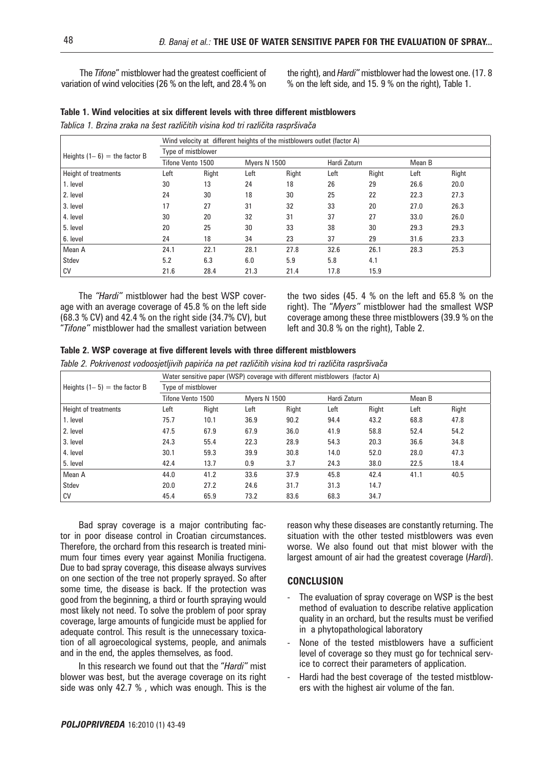The *Tifone*" mistblower had the greatest coefficient of variation of wind velocities (26 % on the left, and 28.4 % on the right), and *Hardi"* mistblower had the lowest one. (17. 8 % on the left side, and 15. 9 % on the right), Table 1.

| Table 1. Wind velocities at six different levels with three different mistblowers |  |
|-----------------------------------------------------------------------------------|--|
|-----------------------------------------------------------------------------------|--|

*Tablica 1. Brzina zraka na šest različitih visina kod tri različita raspršivača* 

|                                | Wind velocity at different heights of the mistblowers outlet (factor A) |       |                     |       |              |       |        |       |  |
|--------------------------------|-------------------------------------------------------------------------|-------|---------------------|-------|--------------|-------|--------|-------|--|
| Heights $(1-6)$ = the factor B | Type of mistblower                                                      |       |                     |       |              |       |        |       |  |
|                                | Tifone Vento 1500                                                       |       | <b>Mvers N 1500</b> |       | Hardi Zaturn |       | Mean B |       |  |
| Height of treatments           | Left                                                                    | Right | Left                | Right | Left         | Right | Left   | Right |  |
| 1. level                       | 30                                                                      | 13    | 24                  | 18    | 26           | 29    | 26.6   | 20.0  |  |
| 2. level                       | 24                                                                      | 30    | 18                  | 30    | 25           | 22    | 22.3   | 27.3  |  |
| 3. level                       | 17                                                                      | 27    | 31                  | 32    | 33           | 20    | 27.0   | 26.3  |  |
| 4. level                       | 30                                                                      | 20    | 32                  | 31    | 37           | 27    | 33.0   | 26.0  |  |
| 5. level                       | 20                                                                      | 25    | 30                  | 33    | 38           | 30    | 29.3   | 29.3  |  |
| 6. level                       | 24                                                                      | 18    | 34                  | 23    | 37           | 29    | 31.6   | 23.3  |  |
| Mean A                         | 24.1                                                                    | 22.1  | 28.1                | 27.8  | 32.6         | 26.1  | 28.3   | 25.3  |  |
| Stdev                          | 5.2                                                                     | 6.3   | 6.0                 | 5.9   | 5.8          | 4.1   |        |       |  |
| CV                             | 21.6                                                                    | 28.4  | 21.3                | 21.4  | 17.8         | 15.9  |        |       |  |

The *"Hardi"* mistblower had the best WSP coverage with an average coverage of 45.8 % on the left side (68.3 % CV) and 42.4 % on the right side (34.7% CV), but "*Tifone"* mistblower had the smallest variation between the two sides (45. 4 % on the left and 65.8 % on the right). The "*Myers"* mistblower had the smallest WSP coverage among these three mistblowers (39.9 % on the left and 30.8 % on the right), Table 2.

### **Table 2. WSP coverage at five different levels with three different mistblowers**

Table 2. Pokrivenost vodoosjetljivih papirića na pet različitih visina kod tri različita raspršivača

|                                | Water sensitive paper (WSP) coverage with different mistblowers (factor A) |       |                     |       |              |       |        |       |
|--------------------------------|----------------------------------------------------------------------------|-------|---------------------|-------|--------------|-------|--------|-------|
| Heights $(1-5)$ = the factor B | Type of mistblower                                                         |       |                     |       |              |       |        |       |
|                                | Tifone Vento 1500                                                          |       | <b>Mvers N 1500</b> |       | Hardi Zaturn |       | Mean B |       |
| Height of treatments           | Left                                                                       | Right | Left                | Right | Left         | Right | Left   | Right |
| 1. level                       | 75.7                                                                       | 10.1  | 36.9                | 90.2  | 94.4         | 43.2  | 68.8   | 47.8  |
| 2. level                       | 47.5                                                                       | 67.9  | 67.9                | 36.0  | 41.9         | 58.8  | 52.4   | 54.2  |
| 3. level                       | 24.3                                                                       | 55.4  | 22.3                | 28.9  | 54.3         | 20.3  | 36.6   | 34.8  |
| 4. level                       | 30.1                                                                       | 59.3  | 39.9                | 30.8  | 14.0         | 52.0  | 28.0   | 47.3  |
| 5. level                       | 42.4                                                                       | 13.7  | 0.9                 | 3.7   | 24.3         | 38.0  | 22.5   | 18.4  |
| Mean A                         | 44.0                                                                       | 41.2  | 33.6                | 37.9  | 45.8         | 42.4  | 41.1   | 40.5  |
| Stdev                          | 20.0                                                                       | 27.2  | 24.6                | 31.7  | 31.3         | 14.7  |        |       |
| CV                             | 45.4                                                                       | 65.9  | 73.2                | 83.6  | 68.3         | 34.7  |        |       |

Bad spray coverage is a major contributing factor in poor disease control in Croatian circumstances. Therefore, the orchard from this research is treated minimum four times every year against Monilia fructigena. Due to bad spray coverage, this disease always survives on one section of the tree not properly sprayed. So after some time, the disease is back. If the protection was good from the beginning, a third or fourth spraying would most likely not need. To solve the problem of poor spray coverage, large amounts of fungicide must be applied for adequate control. This result is the unnecessary toxication of all agroecological systems, people, and animals and in the end, the apples themselves, as food.

In this research we found out that the "*Hardi"* mist blower was best, but the average coverage on its right side was only 42.7 % , which was enough. This is the reason why these diseases are constantly returning. The situation with the other tested mistblowers was even worse. We also found out that mist blower with the largest amount of air had the greatest coverage (*Hardi*).

### **CONCLUSION**

- The evaluation of spray coverage on WSP is the best method of evaluation to describe relative application quality in an orchard, but the results must be verified in a phytopathological laboratory
- None of the tested mistblowers have a sufficient level of coverage so they must go for technical service to correct their parameters of application.
- Hardi had the best coverage of the tested mistblowers with the highest air volume of the fan.